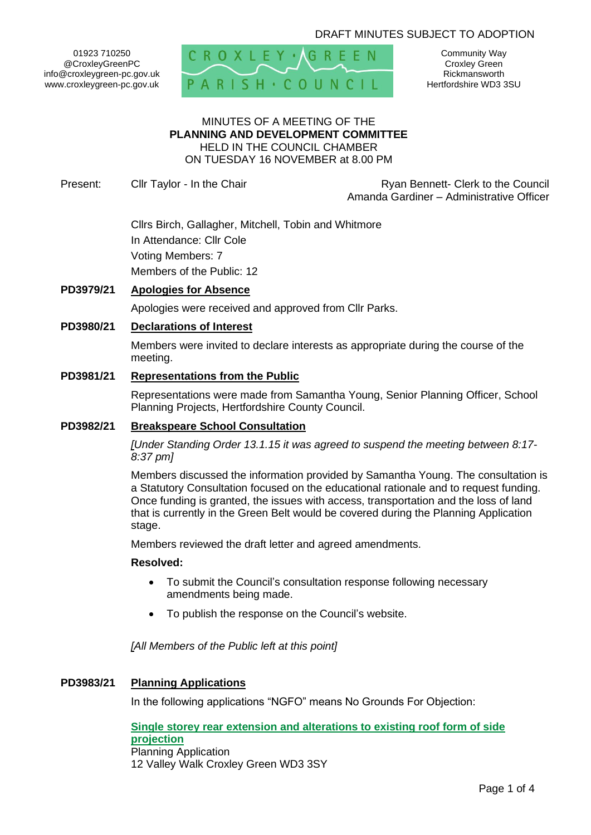# DRAFT MINUTES SUBJECT TO ADOPTION

01923 710250 @CroxleyGreenPC info@croxleygreen-pc.gov.uk www.croxleygreen-pc.gov.uk



Community Way Croxley Green Rickmansworth Hertfordshire WD3 3SU

### MINUTES OF A MEETING OF THE **PLANNING AND DEVELOPMENT COMMITTEE** HELD IN THE COUNCIL CHAMBER ON TUESDAY 16 NOVEMBER at 8.00 PM

Present: Clir Taylor - In the Chair **Reserve Access 12 Clerk to the Council** Ryan Bennett- Clerk to the Council Amanda Gardiner – Administrative Officer

> Cllrs Birch, Gallagher, Mitchell, Tobin and Whitmore In Attendance: Cllr Cole Voting Members: 7 Members of the Public: 12

## **PD3979/21 Apologies for Absence**

Apologies were received and approved from Cllr Parks.

### **PD3980/21 Declarations of Interest**

Members were invited to declare interests as appropriate during the course of the meeting.

### **PD3981/21 Representations from the Public**

Representations were made from Samantha Young, Senior Planning Officer, School Planning Projects, Hertfordshire County Council.

#### **PD3982/21 Breakspeare School Consultation**

*[Under Standing Order 13.1.15 it was agreed to suspend the meeting between 8:17- 8:37 pm]*

Members discussed the information provided by Samantha Young. The consultation is a Statutory Consultation focused on the educational rationale and to request funding. Once funding is granted, the issues with access, transportation and the loss of land that is currently in the Green Belt would be covered during the Planning Application stage.

Members reviewed the draft letter and agreed amendments.

### **Resolved:**

- To submit the Council's consultation response following necessary amendments being made.
- To publish the response on the Council's website.

*[All Members of the Public left at this point]*

### **PD3983/21 Planning Applications**

In the following applications "NGFO" means No Grounds For Objection:

**[Single storey rear extension and alterations to existing roof form of side](https://www3.threerivers.gov.uk/online-applications/applicationDetails.do?activeTab=summary&keyVal=R1F4UTQFHP700&prevPage=inTray)  [projection](https://www3.threerivers.gov.uk/online-applications/applicationDetails.do?activeTab=summary&keyVal=R1F4UTQFHP700&prevPage=inTray)** Planning Application 12 Valley Walk Croxley Green WD3 3SY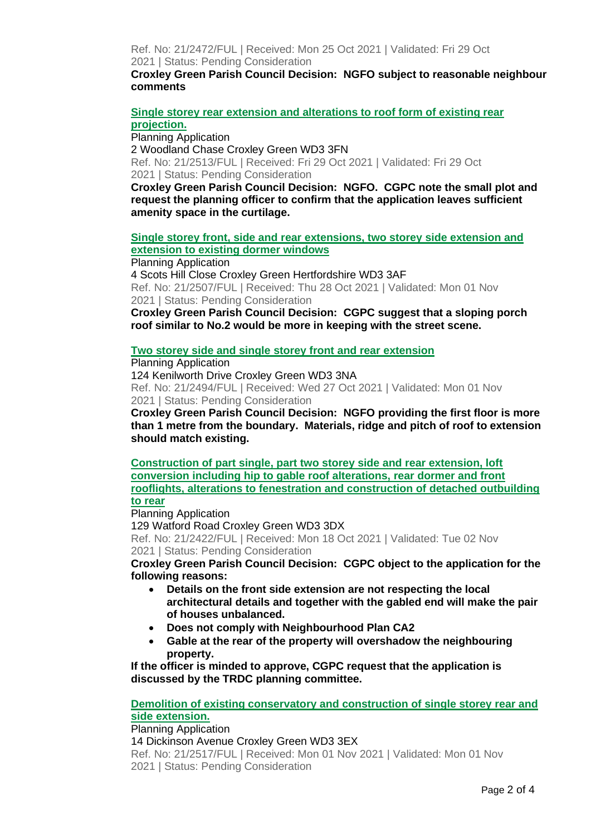Ref. No: 21/2472/FUL | Received: Mon 25 Oct 2021 | Validated: Fri 29 Oct 2021 | Status: Pending Consideration

**Croxley Green Parish Council Decision: NGFO subject to reasonable neighbour comments**

**[Single storey rear extension and alterations to roof form of existing rear](https://www3.threerivers.gov.uk/online-applications/applicationDetails.do?activeTab=summary&keyVal=R1Q8U4QFHRK00&prevPage=inTray)  [projection.](https://www3.threerivers.gov.uk/online-applications/applicationDetails.do?activeTab=summary&keyVal=R1Q8U4QFHRK00&prevPage=inTray)**

Planning Application 2 Woodland Chase Croxley Green WD3 3FN Ref. No: 21/2513/FUL | Received: Fri 29 Oct 2021 | Validated: Fri 29 Oct 2021 | Status: Pending Consideration

**Croxley Green Parish Council Decision: NGFO. CGPC note the small plot and request the planning officer to confirm that the application leaves sufficient amenity space in the curtilage.**

**[Single storey front, side and rear extensions, two storey side extension and](https://www3.threerivers.gov.uk/online-applications/applicationDetails.do?activeTab=summary&keyVal=R1OIK0QF0DC00&prevPage=inTray)  [extension to existing dormer windows](https://www3.threerivers.gov.uk/online-applications/applicationDetails.do?activeTab=summary&keyVal=R1OIK0QF0DC00&prevPage=inTray)**

Planning Application 4 Scots Hill Close Croxley Green Hertfordshire WD3 3AF Ref. No: 21/2507/FUL | Received: Thu 28 Oct 2021 | Validated: Mon 01 Nov 2021 | Status: Pending Consideration

**Croxley Green Parish Council Decision: CGPC suggest that a sloping porch roof similar to No.2 would be more in keeping with the street scene.**

## **Two storey side and single [storey front and rear extension](https://www3.threerivers.gov.uk/online-applications/applicationDetails.do?activeTab=summary&keyVal=R1MJMGQFHQO00&prevPage=inTray)**

Planning Application

124 Kenilworth Drive Croxley Green WD3 3NA Ref. No: 21/2494/FUL | Received: Wed 27 Oct 2021 | Validated: Mon 01 Nov 2021 | Status: Pending Consideration

**Croxley Green Parish Council Decision: NGFO providing the first floor is more than 1 metre from the boundary. Materials, ridge and pitch of roof to extension should match existing.**

**[Construction of part single, part two storey side and rear extension, loft](https://www3.threerivers.gov.uk/online-applications/applicationDetails.do?activeTab=summary&keyVal=R1264JQFHMS00&prevPage=inTray)  [conversion including hip to gable roof](https://www3.threerivers.gov.uk/online-applications/applicationDetails.do?activeTab=summary&keyVal=R1264JQFHMS00&prevPage=inTray) alterations, rear dormer and front [rooflights, alterations to fenestration and construction of detached outbuilding](https://www3.threerivers.gov.uk/online-applications/applicationDetails.do?activeTab=summary&keyVal=R1264JQFHMS00&prevPage=inTray)  to [rear](https://www3.threerivers.gov.uk/online-applications/applicationDetails.do?activeTab=summary&keyVal=R1264JQFHMS00&prevPage=inTray)**

Planning Application

129 Watford Road Croxley Green WD3 3DX Ref. No: 21/2422/FUL | Received: Mon 18 Oct 2021 | Validated: Tue 02 Nov 2021 | Status: Pending Consideration

**Croxley Green Parish Council Decision: CGPC object to the application for the following reasons:**

- **Details on the front side extension are not respecting the local architectural details and together with the gabled end will make the pair of houses unbalanced.**
- **Does not comply with Neighbourhood Plan CA2**
- **Gable at the rear of the property will overshadow the neighbouring property.**

**If the officer is minded to approve, CGPC request that the application is discussed by the TRDC planning committee.**

## **[Demolition of existing conservatory and construction of single storey rear and](https://www3.threerivers.gov.uk/online-applications/applicationDetails.do?activeTab=summary&keyVal=R1S3MHQFHRU00&prevPage=inTray)  [side extension.](https://www3.threerivers.gov.uk/online-applications/applicationDetails.do?activeTab=summary&keyVal=R1S3MHQFHRU00&prevPage=inTray)**

Planning Application

14 Dickinson Avenue Croxley Green WD3 3EX

Ref. No: 21/2517/FUL | Received: Mon 01 Nov 2021 | Validated: Mon 01 Nov 2021 | Status: Pending Consideration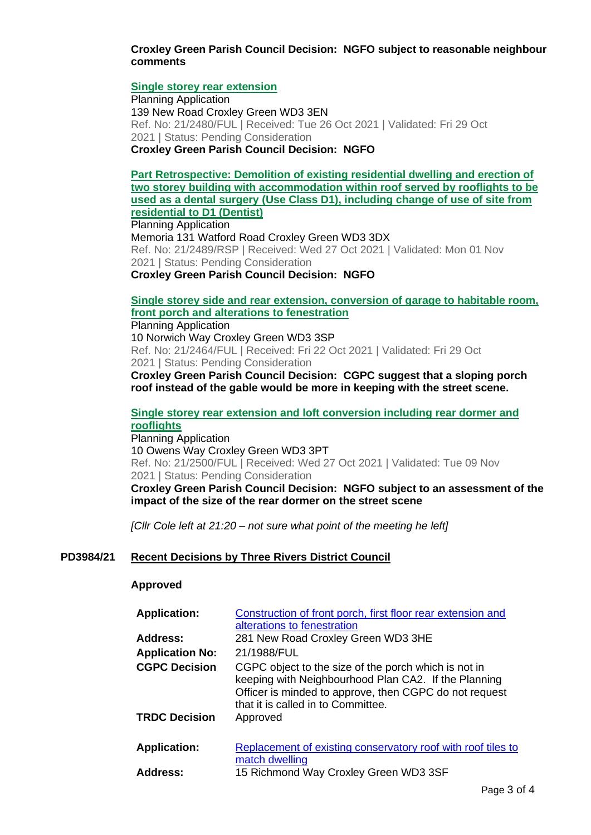## **Croxley Green Parish Council Decision: NGFO subject to reasonable neighbour comments**

## **[Single storey rear extension](https://www3.threerivers.gov.uk/online-applications/applicationDetails.do?activeTab=summary&keyVal=R1KOYEQFHPT00&prevPage=inTray)**

Planning Application 139 New Road Croxley Green WD3 3EN Ref. No: 21/2480/FUL | Received: Tue 26 Oct 2021 | Validated: Fri 29 Oct 2021 | Status: Pending Consideration **Croxley Green Parish Council Decision: NGFO**

**[Part Retrospective: Demolition of existing residential dwelling and erection of](https://www3.threerivers.gov.uk/online-applications/applicationDetails.do?activeTab=summary&keyVal=R1MJLBQFHQE00&prevPage=inTray)  [two storey building with accommodation within roof served by rooflights to be](https://www3.threerivers.gov.uk/online-applications/applicationDetails.do?activeTab=summary&keyVal=R1MJLBQFHQE00&prevPage=inTray)  [used as a dental surgery \(Use Class D1\), including change of use of site from](https://www3.threerivers.gov.uk/online-applications/applicationDetails.do?activeTab=summary&keyVal=R1MJLBQFHQE00&prevPage=inTray)  [residential to D1 \(Dentist\)](https://www3.threerivers.gov.uk/online-applications/applicationDetails.do?activeTab=summary&keyVal=R1MJLBQFHQE00&prevPage=inTray)**

Planning Application Memoria 131 Watford Road Croxley Green WD3 3DX Ref. No: 21/2489/RSP | Received: Wed 27 Oct 2021 | Validated: Mon 01 Nov 2021 | Status: Pending Consideration

**Croxley Green Parish Council Decision: NGFO**

# **[Single storey side and rear extension, conversion of garage to habitable room,](https://www3.threerivers.gov.uk/online-applications/applicationDetails.do?activeTab=summary&keyVal=R1DA7ZQFHOS00&prevPage=inTray)  [front porch and alterations to fenestration](https://www3.threerivers.gov.uk/online-applications/applicationDetails.do?activeTab=summary&keyVal=R1DA7ZQFHOS00&prevPage=inTray)**

Planning Application 10 Norwich Way Croxley Green WD3 3SP Ref. No: 21/2464/FUL | Received: Fri 22 Oct 2021 | Validated: Fri 29 Oct 2021 | Status: Pending Consideration **Croxley Green Parish Council Decision: CGPC suggest that a sloping porch** 

**roof instead of the gable would be more in keeping with the street scene.**

# **[Single storey rear extension and loft conversion including rear dormer and](https://www3.threerivers.gov.uk/online-applications/applicationDetails.do?activeTab=summary&keyVal=R1MUNOQFHQZ00&prevPage=inTray)  [rooflights](https://www3.threerivers.gov.uk/online-applications/applicationDetails.do?activeTab=summary&keyVal=R1MUNOQFHQZ00&prevPage=inTray)**

Planning Application 10 Owens Way Croxley Green WD3 3PT Ref. No: 21/2500/FUL | Received: Wed 27 Oct 2021 | Validated: Tue 09 Nov 2021 | Status: Pending Consideration

**Croxley Green Parish Council Decision: NGFO subject to an assessment of the impact of the size of the rear dormer on the street scene**

*[Cllr Cole left at 21:20 – not sure what point of the meeting he left]*

## **PD3984/21 Recent Decisions by Three Rivers District Council**

### **Approved**

| <b>Application:</b>    | Construction of front porch, first floor rear extension and<br>alterations to fenestration                                                                                                                   |
|------------------------|--------------------------------------------------------------------------------------------------------------------------------------------------------------------------------------------------------------|
| <b>Address:</b>        | 281 New Road Croxley Green WD3 3HE                                                                                                                                                                           |
| <b>Application No:</b> | 21/1988/FUL                                                                                                                                                                                                  |
| <b>CGPC Decision</b>   | CGPC object to the size of the porch which is not in<br>keeping with Neighbourhood Plan CA2. If the Planning<br>Officer is minded to approve, then CGPC do not request<br>that it is called in to Committee. |
| <b>TRDC Decision</b>   | Approved                                                                                                                                                                                                     |
| <b>Application:</b>    | Replacement of existing conservatory roof with roof tiles to<br>match dwelling                                                                                                                               |
| <b>Address:</b>        | 15 Richmond Way Croxley Green WD3 3SF                                                                                                                                                                        |